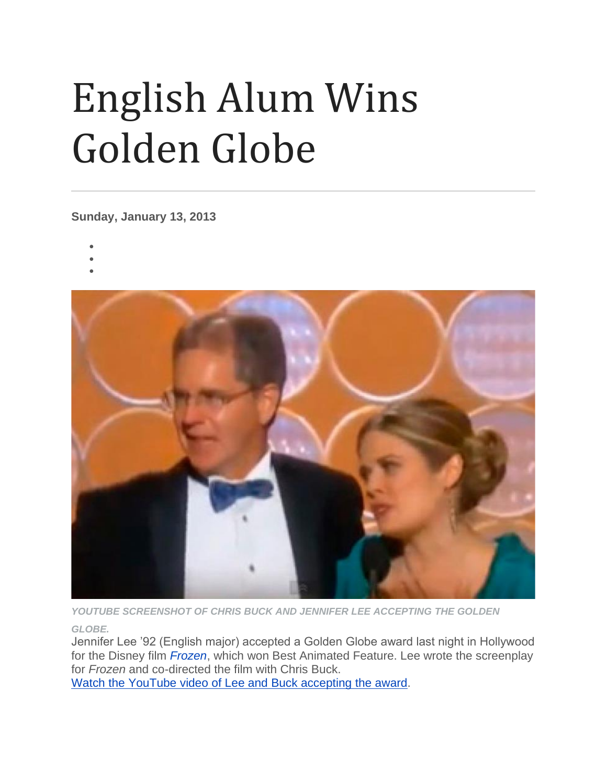## English Alum Wins Golden Globe

**Sunday, January 13, 2013**

- •
- •
	-



*YOUTUBE SCREENSHOT OF CHRIS BUCK AND JENNIFER LEE ACCEPTING THE GOLDEN* 

*GLOBE.*

Jennifer Lee '92 (English major) accepted a Golden Globe award last night in Hollywood for the Disney film *[Frozen](http://www.imdb.com/title/tt2294629/)*, which won Best Animated Feature. Lee wrote the screenplay for *Frozen* and co-directed the film with Chris Buck.

Watch the YouTube video of Lee and Buck [accepting](http://www.youtube.com/watch?v=PGvdAo-DaX0) the award.